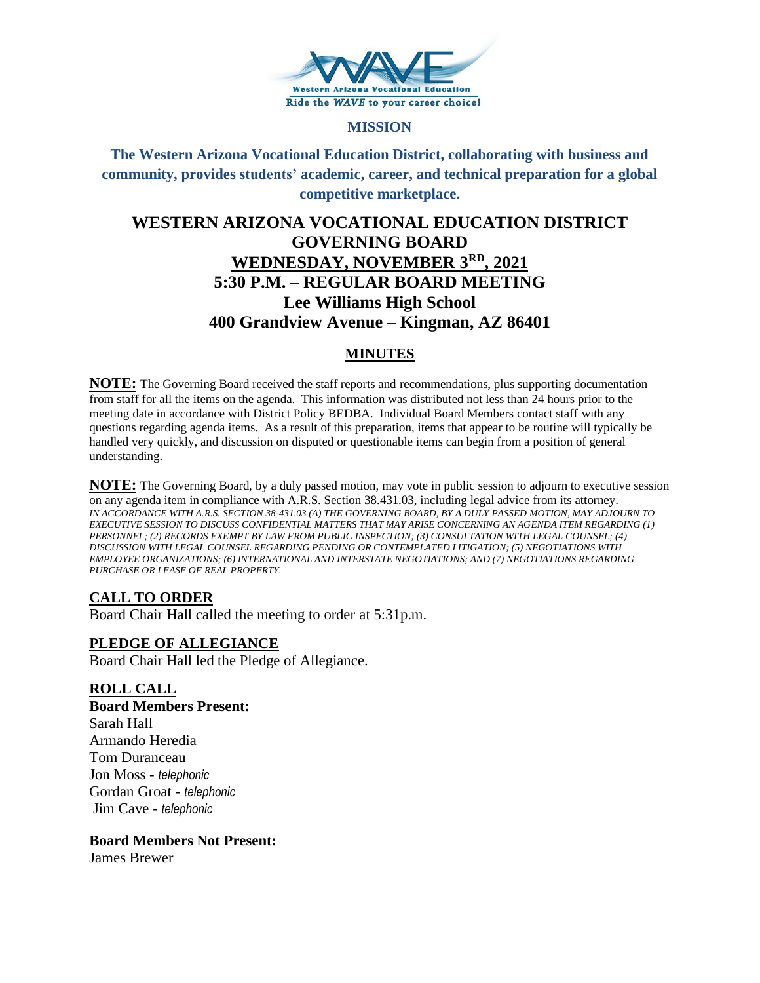

#### **MISSION**

# **The Western Arizona Vocational Education District, collaborating with business and community, provides students' academic, career, and technical preparation for a global competitive marketplace.**

# **WESTERN ARIZONA VOCATIONAL EDUCATION DISTRICT GOVERNING BOARD WEDNESDAY, NOVEMBER 3RD, 2021 5:30 P.M. – REGULAR BOARD MEETING Lee Williams High School 400 Grandview Avenue – Kingman, AZ 86401**

# **MINUTES**

**NOTE:** The Governing Board received the staff reports and recommendations, plus supporting documentation from staff for all the items on the agenda. This information was distributed not less than 24 hours prior to the meeting date in accordance with District Policy BEDBA. Individual Board Members contact staff with any questions regarding agenda items. As a result of this preparation, items that appear to be routine will typically be handled very quickly, and discussion on disputed or questionable items can begin from a position of general understanding.

**NOTE:** The Governing Board, by a duly passed motion, may vote in public session to adjourn to executive session on any agenda item in compliance with A.R.S. Section 38.431.03, including legal advice from its attorney. *IN ACCORDANCE WITH A.R.S. SECTION 38-431.03 (A) THE GOVERNING BOARD, BY A DULY PASSED MOTION, MAY ADJOURN TO EXECUTIVE SESSION TO DISCUSS CONFIDENTIAL MATTERS THAT MAY ARISE CONCERNING AN AGENDA ITEM REGARDING (1) PERSONNEL; (2) RECORDS EXEMPT BY LAW FROM PUBLIC INSPECTION; (3) CONSULTATION WITH LEGAL COUNSEL; (4) DISCUSSION WITH LEGAL COUNSEL REGARDING PENDING OR CONTEMPLATED LITIGATION; (5) NEGOTIATIONS WITH EMPLOYEE ORGANIZATIONS; (6) INTERNATIONAL AND INTERSTATE NEGOTIATIONS; AND (7) NEGOTIATIONS REGARDING PURCHASE OR LEASE OF REAL PROPERTY.*

# **CALL TO ORDER**

Board Chair Hall called the meeting to order at 5:31p.m.

## **PLEDGE OF ALLEGIANCE**

Board Chair Hall led the Pledge of Allegiance.

## **ROLL CALL**

**Board Members Present:** Sarah Hall Armando Heredia Tom Duranceau Jon Moss - *telephonic* Gordan Groat - *telephonic* Jim Cave - *telephonic*

#### **Board Members Not Present:**

James Brewer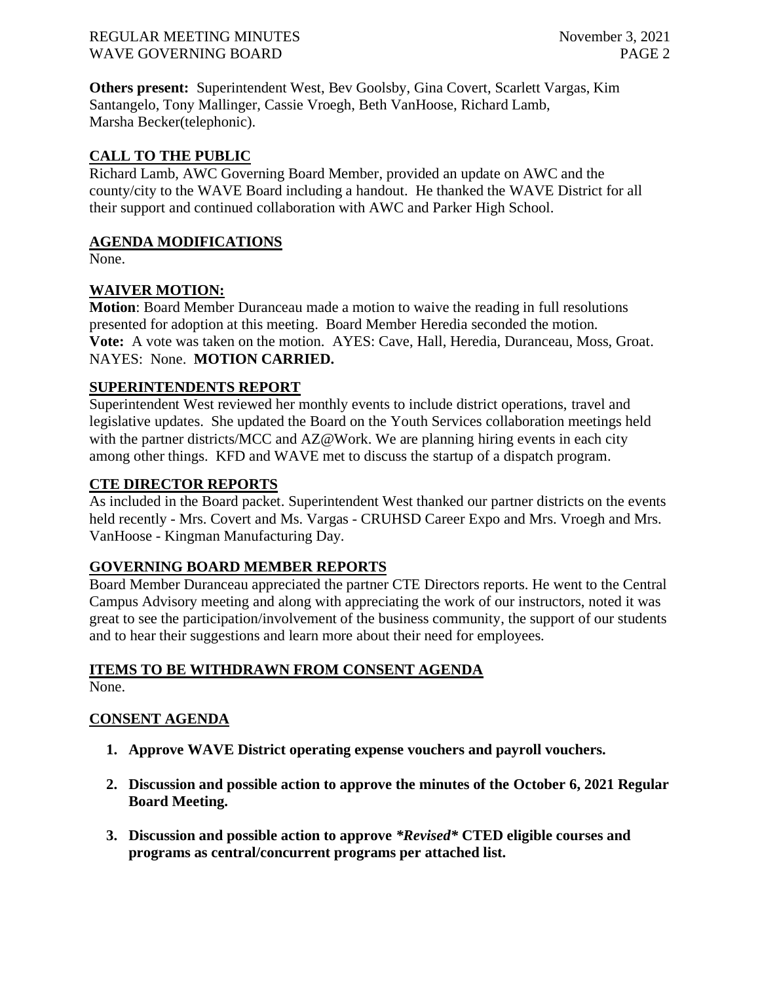#### REGULAR MEETING MINUTES November 3, 2021 WAVE GOVERNING BOARD **PAGE 2**

**Others present:** Superintendent West, Bev Goolsby, Gina Covert, Scarlett Vargas, Kim Santangelo, Tony Mallinger, Cassie Vroegh, Beth VanHoose, Richard Lamb, Marsha Becker(telephonic).

# **CALL TO THE PUBLIC**

Richard Lamb, AWC Governing Board Member, provided an update on AWC and the county/city to the WAVE Board including a handout. He thanked the WAVE District for all their support and continued collaboration with AWC and Parker High School.

## **AGENDA MODIFICATIONS**

None.

# **WAIVER MOTION:**

**Motion**: Board Member Duranceau made a motion to waive the reading in full resolutions presented for adoption at this meeting. Board Member Heredia seconded the motion. **Vote:** A vote was taken on the motion. AYES: Cave, Hall, Heredia, Duranceau, Moss, Groat. NAYES: None. **MOTION CARRIED.**

## **SUPERINTENDENTS REPORT**

Superintendent West reviewed her monthly events to include district operations, travel and legislative updates. She updated the Board on the Youth Services collaboration meetings held with the partner districts/MCC and AZ@Work. We are planning hiring events in each city among other things. KFD and WAVE met to discuss the startup of a dispatch program.

#### **CTE DIRECTOR REPORTS**

As included in the Board packet. Superintendent West thanked our partner districts on the events held recently - Mrs. Covert and Ms. Vargas - CRUHSD Career Expo and Mrs. Vroegh and Mrs. VanHoose - Kingman Manufacturing Day.

## **GOVERNING BOARD MEMBER REPORTS**

Board Member Duranceau appreciated the partner CTE Directors reports. He went to the Central Campus Advisory meeting and along with appreciating the work of our instructors, noted it was great to see the participation/involvement of the business community, the support of our students and to hear their suggestions and learn more about their need for employees.

# **ITEMS TO BE WITHDRAWN FROM CONSENT AGENDA**

None.

## **CONSENT AGENDA**

- **1. Approve WAVE District operating expense vouchers and payroll vouchers.**
- **2. Discussion and possible action to approve the minutes of the October 6, 2021 Regular Board Meeting.**
- **3. Discussion and possible action to approve** *\*Revised\** **CTED eligible courses and programs as central/concurrent programs per attached list.**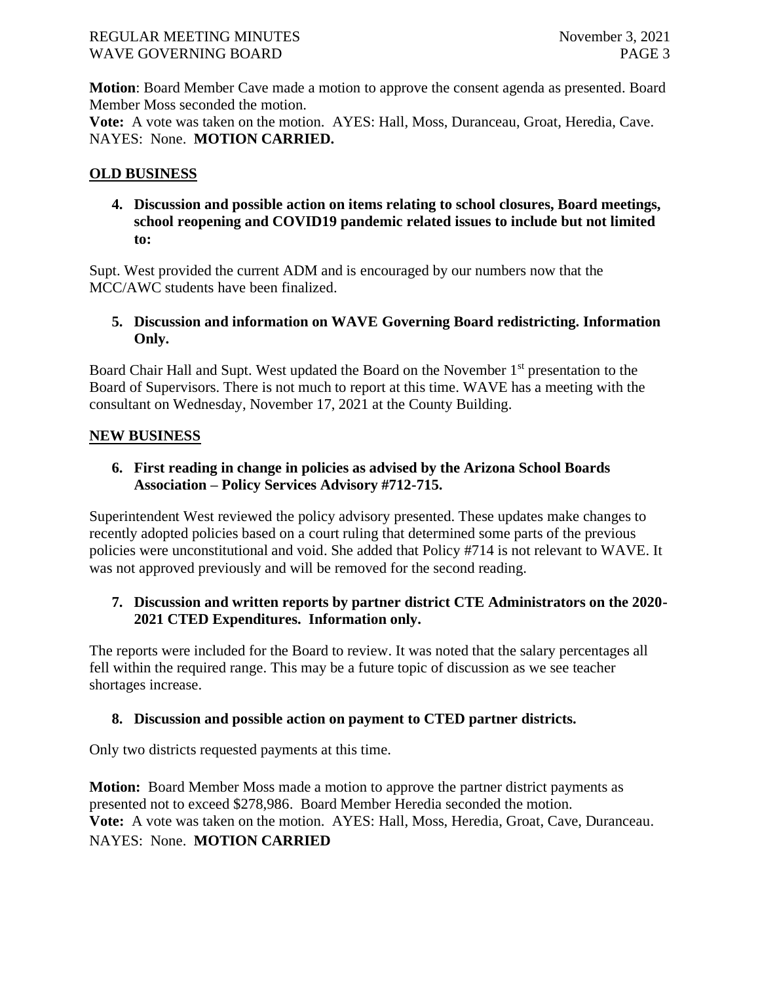#### REGULAR MEETING MINUTES November 3, 2021 WAVE GOVERNING BOARD **PAGE 3**

**Motion**: Board Member Cave made a motion to approve the consent agenda as presented. Board Member Moss seconded the motion.

**Vote:** A vote was taken on the motion. AYES: Hall, Moss, Duranceau, Groat, Heredia, Cave. NAYES: None. **MOTION CARRIED.**

## **OLD BUSINESS**

**4. Discussion and possible action on items relating to school closures, Board meetings, school reopening and COVID19 pandemic related issues to include but not limited to:**

Supt. West provided the current ADM and is encouraged by our numbers now that the MCC/AWC students have been finalized.

**5. Discussion and information on WAVE Governing Board redistricting. Information Only.**

Board Chair Hall and Supt. West updated the Board on the November 1<sup>st</sup> presentation to the Board of Supervisors. There is not much to report at this time. WAVE has a meeting with the consultant on Wednesday, November 17, 2021 at the County Building.

## **NEW BUSINESS**

**6. First reading in change in policies as advised by the Arizona School Boards Association – Policy Services Advisory #712-715.** 

Superintendent West reviewed the policy advisory presented. These updates make changes to recently adopted policies based on a court ruling that determined some parts of the previous policies were unconstitutional and void. She added that Policy #714 is not relevant to WAVE. It was not approved previously and will be removed for the second reading.

# **7. Discussion and written reports by partner district CTE Administrators on the 2020- 2021 CTED Expenditures. Information only.**

The reports were included for the Board to review. It was noted that the salary percentages all fell within the required range. This may be a future topic of discussion as we see teacher shortages increase.

## **8. Discussion and possible action on payment to CTED partner districts.**

Only two districts requested payments at this time.

**Motion:** Board Member Moss made a motion to approve the partner district payments as presented not to exceed \$278,986. Board Member Heredia seconded the motion. **Vote:** A vote was taken on the motion. AYES: Hall, Moss, Heredia, Groat, Cave, Duranceau. NAYES: None. **MOTION CARRIED**